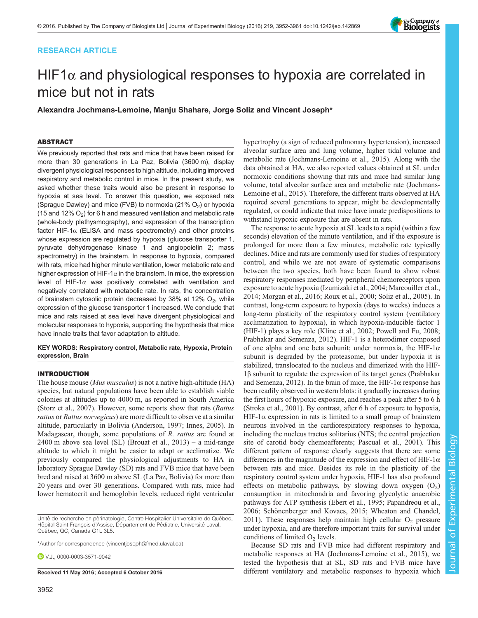# RESEARCH ARTICLE

# HIF1 $\alpha$  and physiological responses to hypoxia are correlated in mice but not in rats

Alexandra Jochmans-Lemoine, Manju Shahare, Jorge Soliz and Vincent Joseph\*

# ABSTRACT

We previously reported that rats and mice that have been raised for more than 30 generations in La Paz, Bolivia (3600 m), display divergent physiological responses to high altitude, including improved respiratory and metabolic control in mice. In the present study, we asked whether these traits would also be present in response to hypoxia at sea level. To answer this question, we exposed rats (Sprague Dawley) and mice (FVB) to normoxia (21%  $O<sub>2</sub>$ ) or hypoxia (15 and 12%  $O_2$ ) for 6 h and measured ventilation and metabolic rate (whole-body plethysmography), and expression of the transcription factor HIF-1 $\alpha$  (ELISA and mass spectrometry) and other proteins whose expression are regulated by hypoxia (glucose transporter 1, pyruvate dehydrogenase kinase 1 and angiopoietin 2; mass spectrometry) in the brainstem. In response to hypoxia, compared with rats, mice had higher minute ventilation, lower metabolic rate and higher expression of HIF-1 $\alpha$  in the brainstem. In mice, the expression level of HIF-1 $\alpha$  was positively correlated with ventilation and negatively correlated with metabolic rate. In rats, the concentration of brainstem cytosolic protein decreased by 38% at 12%  $O<sub>2</sub>$ , while expression of the glucose transporter 1 increased. We conclude that mice and rats raised at sea level have divergent physiological and molecular responses to hypoxia, supporting the hypothesis that mice have innate traits that favor adaptation to altitude.

KEY WORDS: Respiratory control, Metabolic rate, Hypoxia, Protein expression, Brain

## INTRODUCTION

The house mouse (*Mus musculus*) is not a native high-altitude (HA) species, but natural populations have been able to establish viable colonies at altitudes up to 4000 m, as reported in South America [\(Storz et al., 2007](#page-9-0)). However, some reports show that rats (Rattus rattus or Rattus norvegicus) are more difficult to observe at a similar altitude, particularly in Bolivia [\(Anderson, 1997](#page-8-0); [Innes, 2005\)](#page-8-0). In Madagascar, though, some populations of R. rattus are found at  $2400$  m above sea level (SL) (Brouat et al.,  $2013$ ) – a mid-range altitude to which it might be easier to adapt or acclimatize. We previously compared the physiological adjustments to HA in laboratory Sprague Dawley (SD) rats and FVB mice that have been bred and raised at 3600 m above SL (La Paz, Bolivia) for more than 20 years and over 30 generations. Compared with rats, mice had lower hematocrit and hemoglobin levels, reduced right ventricular

Unité de recherche en périnatologie, Centre Hospitalier Universitaire de Québec, Hôpital Saint-François d'Assise, Département de Pédiatrie, Université Laval, Québec, QC, Canada G1L 3L5.

\*Author for correspondence [\(vincentjoseph@fmed.ulaval.ca\)](mailto:vincentjoseph@fmed.ulaval.ca)

**D** V.J., [0000-0003-3571-9042](http://orcid.org/0000-0003-3571-9042)

hypertrophy (a sign of reduced pulmonary hypertension), increased alveolar surface area and lung volume, higher tidal volume and metabolic rate [\(Jochmans-Lemoine et al., 2015](#page-9-0)). Along with the data obtained at HA, we also reported values obtained at SL under normoxic conditions showing that rats and mice had similar lung volume, total alveolar surface area and metabolic rate ([Jochmans-](#page-9-0)[Lemoine et al., 2015\)](#page-9-0). Therefore, the different traits observed at HA required several generations to appear, might be developmentally regulated, or could indicate that mice have innate predispositions to withstand hypoxic exposure that are absent in rats.

The response to acute hypoxia at SL leads to a rapid (within a few seconds) elevation of the minute ventilation, and if the exposure is prolonged for more than a few minutes, metabolic rate typically declines. Mice and rats are commonly used for studies of respiratory control, and while we are not aware of systematic comparisons between the two species, both have been found to show robust respiratory responses mediated by peripheral chemoreceptors upon exposure to acute hypoxia ([Izumizaki et al., 2004;](#page-8-0) [Marcouiller et al.,](#page-9-0) [2014; Morgan et al., 2016](#page-9-0); [Roux et al., 2000; Soliz et al., 2005](#page-9-0)). In contrast, long-term exposure to hypoxia (days to weeks) induces a long-term plasticity of the respiratory control system (ventilatory acclimatization to hypoxia), in which hypoxia-inducible factor 1 (HIF-1) plays a key role [\(Kline et al., 2002; Powell and Fu, 2008](#page-9-0); [Prabhakar and Semenza, 2012](#page-9-0)). HIF-1 is a heterodimer composed of one alpha and one beta subunit; under normoxia, the HIF- $1\alpha$ subunit is degraded by the proteasome, but under hypoxia it is stabilized, translocated to the nucleus and dimerized with the HIF-1β subunit to regulate the expression of its target genes [\(Prabhakar](#page-9-0) [and Semenza, 2012\)](#page-9-0). In the brain of mice, the HIF-1 $\alpha$  response has been readily observed in western blots: it gradually increases during the first hours of hypoxic exposure, and reaches a peak after 5 to 6 h [\(Stroka et al., 2001](#page-9-0)). By contrast, after 6 h of exposure to hypoxia, HIF-1 $\alpha$  expression in rats is limited to a small group of brainstem neurons involved in the cardiorespiratory responses to hypoxia, including the nucleus tractus solitarius (NTS; the central projection site of carotid body chemoafferents; [Pascual et al., 2001\)](#page-9-0). This different pattern of response clearly suggests that there are some differences in the magnitude of the expression and effect of HIF-1 $\alpha$ between rats and mice. Besides its role in the plasticity of the respiratory control system under hypoxia, HIF-1 has also profound effects on metabolic pathways, by slowing down oxygen  $(O_2)$ consumption in mitochondria and favoring glycolytic anaerobic pathways for ATP synthesis [\(Ebert et al., 1995](#page-8-0); [Papandreou et al.,](#page-9-0) [2006; Schönenberger and Kovacs, 2015](#page-9-0); [Wheaton and Chandel,](#page-9-0) [2011\)](#page-9-0). These responses help maintain high cellular  $O_2$  pressure under hypoxia, and are therefore important traits for survival under conditions of limited  $O<sub>2</sub>$  levels.

Because SD rats and FVB mice had different respiratory and metabolic responses at HA ([Jochmans-Lemoine et al., 2015](#page-9-0)), we tested the hypothesis that at SL, SD rats and FVB mice have Received 11 May 2016; Accepted 6 October 2016 different ventilatory and metabolic responses to hypoxia which

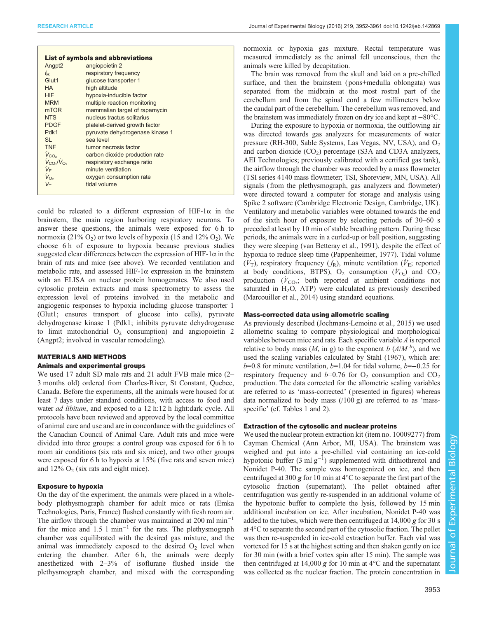|                                     | <b>List of symbols and abbreviations</b> |
|-------------------------------------|------------------------------------------|
| Angpt <sub>2</sub>                  | angiopoietin 2                           |
| $f_{\rm D}$                         | respiratory frequency                    |
| Glut1                               | glucose transporter 1                    |
| <b>HA</b>                           | high altitude                            |
| <b>HIF</b>                          | hypoxia-inducible factor                 |
| <b>MRM</b>                          | multiple reaction monitoring             |
| m <sub>TOR</sub>                    | mammalian target of rapamycin            |
| <b>NTS</b>                          | nucleus tractus solitarius               |
| <b>PDGF</b>                         | platelet-derived growth factor           |
| Pdk1                                | pyruvate dehydrogenase kinase 1          |
| SI.                                 | sea level                                |
| <b>TNF</b>                          | tumor necrosis factor                    |
| $V_{CO2}$                           | carbon dioxide production rate           |
| $V_{CO}/V_{O_2}$                    | respiratory exchange ratio               |
| V⊧                                  | minute ventilation                       |
| $V_{\text{O}_2}$                    | oxygen consumption rate                  |
| $V_{\mathrm{\scriptscriptstyle T}}$ | tidal volume                             |
|                                     |                                          |

could be releated to a different expression of HIF-1 $\alpha$  in the brainstem, the main region harboring respiratory neurons. To answer these questions, the animals were exposed for 6 h to normoxia (21%  $O_2$ ) or two levels of hypoxia (15 and 12%  $O_2$ ). We choose 6 h of exposure to hypoxia because previous studies suggested clear differences between the expression of HIF-1 $\alpha$  in the brain of rats and mice (see above). We recorded ventilation and metabolic rate, and assessed HIF-1 $\alpha$  expression in the brainstem with an ELISA on nuclear protein homogenates. We also used cytosolic protein extracts and mass spectrometry to assess the expression level of proteins involved in the metabolic and angiogenic responses to hypoxia including glucose transporter 1 (Glut1; ensures transport of glucose into cells), pyruvate dehydrogenase kinase 1 (Pdk1; inhibits pyruvate dehydrogenase to limit mitochondrial  $O_2$  consumption) and angiopoietin 2 (Angpt2; involved in vascular remodeling).

# MATERIALS AND METHODS

# Animals and experimental groups

We used 17 adult SD male rats and 21 adult FVB male mice (2– 3 months old) ordered from Charles-River, St Constant, Quebec, Canada. Before the experiments, all the animals were housed for at least 7 days under standard conditions, with access to food and water *ad libitum*, and exposed to a 12 h:12 h light:dark cycle. All protocols have been reviewed and approved by the local committee of animal care and use and are in concordance with the guidelines of the Canadian Council of Animal Care. Adult rats and mice were divided into three groups: a control group was exposed for 6 h to room air conditions (six rats and six mice), and two other groups were exposed for 6 h to hypoxia at 15% (five rats and seven mice) and  $12\%$  O<sub>2</sub> (six rats and eight mice).

## Exposure to hypoxia

On the day of the experiment, the animals were placed in a wholebody plethysmograph chamber for adult mice or rats (Emka Technologies, Paris, France) flushed constantly with fresh room air. The airflow through the chamber was maintained at 200 ml min<sup>-1</sup> for the mice and 1.5 l min<sup>-1</sup> for the rats. The plethysmograph chamber was equilibrated with the desired gas mixture, and the animal was immediately exposed to the desired  $O<sub>2</sub>$  level when entering the chamber. After 6 h, the animals were deeply anesthetized with 2–3% of isoflurane flushed inside the plethysmograph chamber, and mixed with the corresponding normoxia or hypoxia gas mixture. Rectal temperature was measured immediately as the animal fell unconscious, then the animals were killed by decapitation.

The brain was removed from the skull and laid on a pre-chilled surface, and then the brainstem ( pons+medulla oblongata) was separated from the midbrain at the most rostral part of the cerebellum and from the spinal cord a few millimeters below the caudal part of the cerebellum. The cerebellum was removed, and the brainstem was immediately frozen on dry ice and kept at −80°C.

During the exposure to hypoxia or normoxia, the outflowing air was directed towards gas analyzers for measurements of water pressure (RH-300, Sable Systems, Las Vegas, NV, USA), and  $O_2$ and carbon dioxide  $(CO_2)$  percentage (S3A and CD3A analyzers, AEI Technologies; previously calibrated with a certified gas tank), the airflow through the chamber was recorded by a mass flowmeter (TSI series 4140 mass flowmeter; TSI, Shoreview, MN, USA). All signals (from the plethysmograph, gas analyzers and flowmeter) were directed toward a computer for storage and analysis using Spike 2 software (Cambridge Electronic Design, Cambridge, UK). Ventilatory and metabolic variables were obtained towards the end of the sixth hour of exposure by selecting periods of 30–60 s preceded at least by 10 min of stable breathing pattern. During these periods, the animals were in a curled-up or ball position, suggesting they were sleeping [\(van Betteray et al., 1991\)](#page-9-0), despite the effect of hypoxia to reduce sleep time [\(Pappenheimer, 1977](#page-9-0)). Tidal volume  $(V_T)$ , respiratory frequency  $(f_R)$ , minute ventilation ( $\dot{V}_E$ ; reported at body conditions, BTPS),  $O_2$  consumption  $(\dot{V}_{O_2})$  and  $CO_2$ production  $(V_{\text{CO}_2};$  both reported at ambient conditions not saturated in  $H<sub>2</sub>O$ , ATP) were calculated as previously described [\(Marcouiller et al., 2014](#page-9-0)) using standard equations.

#### Mass-corrected data using allometric scaling

As previously described ([Jochmans-Lemoine et al., 2015\)](#page-9-0) we used allometric scaling to compare physiological and morphological variables between mice and rats. Each specific variable A is reported relative to body mass  $(M, \text{ in g})$  to the exponent b  $(A/M<sup>b</sup>)$ , and we used the scaling variables calculated by [Stahl \(1967\),](#page-9-0) which are:  $b=0.8$  for minute ventilation,  $b=1.04$  for tidal volume,  $b=-0.25$  for respiratory frequency and  $b=0.76$  for  $O<sub>2</sub>$  consumption and  $CO<sub>2</sub>$ production. The data corrected for the allometric scaling variables are referred to as 'mass-corrected' ( presented in figures) whereas data normalized to body mass  $(100 g)$  are referred to as 'mass-specific' (cf. [Tables 1](#page-2-0) and [2](#page-2-0)).

## Extraction of the cytosolic and nuclear proteins

We used the nuclear protein extraction kit (item no. 10009277) from Cayman Chemical (Ann Arbor, MI, USA). The brainstem was weighed and put into a pre-chilled vial containing an ice-cold hypotonic buffer  $(3 \text{ ml } g^{-1})$  supplemented with dithiothreitol and Nonidet P-40. The sample was homogenized on ice, and then centrifuged at 300 g for 10 min at  $4^{\circ}$ C to separate the first part of the cytosolic fraction (supernatant). The pellet obtained after centrifugation was gently re-suspended in an additional volume of the hypotonic buffer to complete the lysis, followed by 15 min additional incubation on ice. After incubation, Nonidet P-40 was added to the tubes, which were then centrifuged at  $14,000 \text{ g}$  for 30 s at 4°C to separate the second part of the cytosolic fraction. The pellet was then re-suspended in ice-cold extraction buffer. Each vial was vortexed for 15 s at the highest setting and then shaken gently on ice for 30 min (with a brief vortex spin after 15 min). The sample was then centrifuged at 14,000  $g$  for 10 min at 4 $\degree$ C and the supernatant was collected as the nuclear fraction. The protein concentration in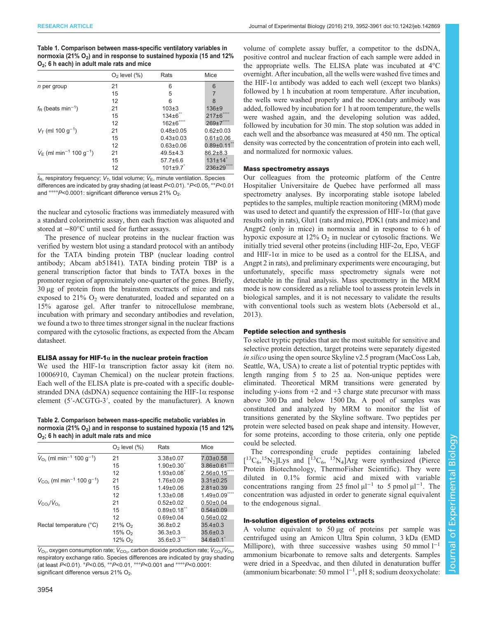<span id="page-2-0"></span>

| Table 1. Comparison between mass-specific ventilatory variables in     |
|------------------------------------------------------------------------|
| normoxia (21% $O_2$ ) and in response to sustained hypoxia (15 and 12% |
| $O2$ ; 6 h each) in adult male rats and mice                           |

|                                                         | $O2$ level $(\%)$ | Rats                  | Mice                      |
|---------------------------------------------------------|-------------------|-----------------------|---------------------------|
| <i>n</i> per group                                      | 21                | 6                     | 6                         |
|                                                         | 15                | 5                     |                           |
|                                                         | 12                | 6                     | 8                         |
| $f_{\rm R}$ (beats min <sup>-1</sup> )                  | 21                | $103 + 3$             | $136 + 9$                 |
|                                                         | 15                | $134\pm6^\circ$       | $217 \pm 6$ $\degree$     |
|                                                         | 12                | 162±6 <sup>0000</sup> | 269±7 <sup>0000</sup>     |
| $V_T$ (ml 100 g <sup>-1</sup> )                         | 21                | $0.48 + 0.05$         | $0.62 \pm 0.03$           |
|                                                         | 15                | $0.43 \pm 0.03$       | $0.61 \pm 0.06$           |
|                                                         | 12                | $0.63 \pm 0.06$       | $0.89 \pm 0.11$ $\degree$ |
| $V_{\rm E}$ (ml min <sup>-1</sup> 100 g <sup>-1</sup> ) | 21                | $49.5 + 4.3$          | $86.2 \pm 8.3$            |
|                                                         | 15                | $57.7 \pm 6.6$        | $131 \pm 14$ °            |
|                                                         | 12                | $101 \pm 9.7$         | $236 \pm 29$ $\degree$    |

 $f_{\rm R}$ , respiratory frequency;  $V_{\rm T}$ , tidal volume;  $V_{\rm E}$ , minute ventilation. Species differences are indicated by gray shading (at least P<0.01). °P<0.05, °°P<0.01 and °°°°P<0.0001: significant difference versus 21% O<sub>2</sub>.

the nuclear and cytosolic fractions was immediately measured with a standard colorimetric assay, then each fraction was aliquoted and stored at −80°C until used for further assays.

The presence of nuclear proteins in the nuclear fraction was verified by western blot using a standard protocol with an antibody for the TATA binding protein TBP (nuclear loading control antibody; Abcam ab51841). TATA binding protein TBP is a general transcription factor that binds to TATA boxes in the promoter region of approximately one-quarter of the genes. Briefly, 30 µg of protein from the brainstem exctracts of mice and rats exposed to  $21\%$  O<sub>2</sub> were denaturated, loaded and separated on a 15% agarose gel. After tranfer to nitrocellulose membrane, incubation with primary and secondary antibodies and revelation, we found a two to three times stronger signal in the nuclear fractions compared with the cytosolic fractions, as expected from the Abcam datasheet.

#### ELISA assay for HIF-1 $\alpha$  in the nuclear protein fraction

We used the HIF-1 $\alpha$  transcription factor assay kit (item no. 10006910, Cayman Chemical) on the nuclear protein fractions. Each well of the ELISA plate is pre-coated with a specific doublestranded DNA (dsDNA) sequence containing the HIF-1 $\alpha$  response element (5′-ACGTG-3′, coated by the manufacturer). A known

Table 2. Comparison between mass-specific metabolic variables in normoxia (21%  $O_2$ ) and in response to sustained hypoxia (15 and 12% O2; 6 h each) in adult male rats and mice

|                                                               | $O2$ level $(\%)$     | Rats            | Mice            |
|---------------------------------------------------------------|-----------------------|-----------------|-----------------|
| $V_{\Omega_2}$ (ml min <sup>-1</sup> 100 g <sup>-1</sup> )    | 21                    | $3.38 + 0.07$   | $7.03 \pm 0.58$ |
|                                                               | 15                    | $1.90 \pm 0.30$ | $3.86 \pm 0.61$ |
|                                                               | 12                    | $1.93 \pm 0.08$ | $2.56 \pm 0.15$ |
| $V_{\text{CO}_2}$ (ml min <sup>-1</sup> 100 g <sup>-1</sup> ) | 21                    | $1.76 \pm 0.09$ | $3.31 \pm 0.25$ |
|                                                               | 15                    | $1.49 \pm 0.06$ | $2.81 \pm 0.39$ |
|                                                               | 12                    | $1.33 \pm 0.08$ | $1.49 \pm 0.09$ |
| $V_{CO_2}/V_{O_2}$                                            | 21                    | $0.52 \pm 0.02$ | $0.50 \pm 0.04$ |
|                                                               | 15                    | $0.89 \pm 0.18$ | $0.54 \pm 0.09$ |
|                                                               | 12                    | $0.69 + 0.04$   | $0.56 \pm 0.02$ |
| Rectal temperature (°C)                                       | $21\%$ O <sub>2</sub> | $36.8 \pm 0.2$  | $35.4 \pm 0.3$  |
|                                                               | $15\%$ O <sub>2</sub> | $36.3 \pm 0.3$  | $35.6 \pm 0.3$  |
|                                                               | $12\%$ O <sub>2</sub> | $35.6 \pm 0.3$  | $34.6 \pm 0.1$  |

 $\dot{V}_{\text{O}_2}$ , oxygen consumption rate;  $\dot{V}_{\text{CO}_2}$ , carbon dioxide production rate;  $\dot{V}_{\text{CO}_2}/\dot{V}_{\text{O}_2}$ , respiratory exchange ratio. Species differences are indicated by gray shading (at least P<0.01). °P<0.05, °°P<0.01, °°°P<0.001 and °°°°P<0.0001: significant difference versus  $21\%$  O<sub>2</sub>.

volume of complete assay buffer, a competitor to the dsDNA, positive control and nuclear fraction of each sample were added in the appropriate wells. The ELISA plate was incubated at 4°C overnight. After incubation, all the wells were washed five times and the HIF-1 $\alpha$  antibody was added to each well (except two blanks) followed by 1 h incubation at room temperature. After incubation, the wells were washed properly and the secondary antibody was added, followed by incubation for 1 h at room temperature, the wells were washed again, and the developing solution was added, followed by incubation for 30 min. The stop solution was added in each well and the absorbance was measured at 450 nm. The optical density was corrected by the concentration of protein into each well, and normalized for normoxic values.

## Mass spectrometry assays

Our colleagues from the proteomic platform of the Centre Hospitalier Universitaire de Quebec have performed all mass spectrometry analyses. By incorporating stable isotope labeled peptides to the samples, multiple reaction monitoring (MRM) mode was used to detect and quantify the expression of HIF-1 $\alpha$  (that gave results only in rats), Glut1 (rats and mice), PDK1 (rats and mice) and Angpt2 (only in mice) in normoxia and in response to 6 h of hypoxic exposure at  $12\%$  O<sub>2</sub> in nuclear or cytosolic fractions. We initially tried several other proteins (including HIF-2α, Epo, VEGF and HIF-1 $\alpha$  in mice to be used as a control for the ELISA, and Angpt 2 in rats), and preliminary experiments were encouraging, but unfortunately, specific mass spectrometry signals were not detectable in the final analysis. Mass spectrometry in the MRM mode is now considered as a reliable tool to assess protein levels in biological samples, and it is not necessary to validate the results with conventional tools such as western blots [\(Aebersold et al.,](#page-8-0) [2013\)](#page-8-0).

#### Peptide selection and synthesis

To select tryptic peptides that are the most suitable for sensitive and selective protein detection, target proteins were separately digested in silico using the open source Skyline v2.5 program (MacCoss Lab, Seattle, WA, USA) to create a list of potential tryptic peptides with length ranging from 5 to 25 aa. Non-unique peptides were eliminated. Theoretical MRM transitions were generated by including y-ions from  $+2$  and  $+3$  charge state precursor with mass above 300 Da and below 1500 Da. A pool of samples was constituted and analyzed by MRM to monitor the list of transitions generated by the Skyline software. Two peptides per protein were selected based on peak shape and intensity. However, for some proteins, according to those criteria, only one peptide could be selected.

The corresponding crude peptides containing labeled  $[^{13}C_6, ^{15}N_2]Lys$  and  $[^{13}C_6, ^{15}N_4]Arg$  were synthesized (Pierce Protein Biotechnology, ThermoFisher Scientific). They were diluted in 0.1% formic acid and mixed with variable concentrations ranging from 25 fmol  $\mu$ l<sup>-1</sup> to 5 pmol  $\mu$ l<sup>-1</sup>. The concentration was adjusted in order to generate signal equivalent to the endogenous signal.

## In-solution digestion of proteins extracts

A volume equivalent to 50 µg of proteins per sample was centrifuged using an Amicon Ultra Spin column, 3 kDa (EMD Millipore), with three successive washes using  $50 \text{ mmol } 1^{-1}$ ammonium bicarbonate to remove salts and detergents. Samples were dried in a Speedvac, and then diluted in denaturation buffer (ammonium bicarbonate: 50 mmol l−<sup>1</sup> , pH 8; sodium deoxycholate: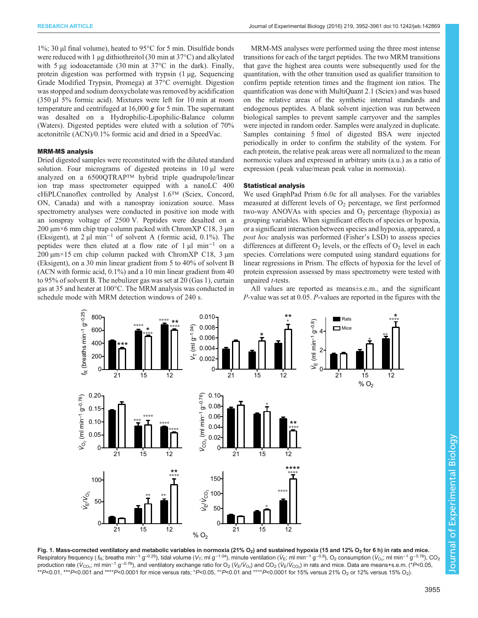<span id="page-3-0"></span>1%; 30 µl final volume), heated to 95°C for 5 min. Disulfide bonds were reduced with 1 µg dithiothreitol (30 min at 37°C) and alkylated with 5 µg iodoacetamide (30 min at 37<sup>o</sup>C in the dark). Finally, protein digestion was performed with trypsin (1 µg, Sequencing Grade Modified Trypsin, Promega) at 37°C overnight. Digestion was stopped and sodium deoxycholate was removed by acidification (350 µl 5% formic acid). Mixtures were left for 10 min at room temperature and centrifuged at  $16,000 \, \text{g}$  for 5 min. The supernatant was desalted on a Hydrophilic-Lipophilic-Balance column (Waters). Digested peptides were eluted with a solution of 70% acetonitrile (ACN)/0.1% formic acid and dried in a SpeedVac.

#### MRM-MS analysis

Dried digested samples were reconstituted with the diluted standard solution. Four micrograms of digested proteins in  $10 \mu l$  were analyzed on a 6500QTRAP™ hybrid triple quadrupole/linear ion trap mass spectrometer equipped with a nanoLC 400 cHiPLCnanoflex controlled by Analyst 1.6™ (Sciex, Concord, ON, Canada) and with a nanospray ionization source. Mass spectrometry analyses were conducted in positive ion mode with an ionspray voltage of 2500 V. Peptides were desalted on a 200  $\mu$ m×6 mm chip trap column packed with ChromXP C18, 3  $\mu$ m (Eksigent), at 2 µl min−<sup>1</sup> of solvent A (formic acid, 0.1%). The peptides were then eluted at a flow rate of  $1 \mu I$  min<sup>-1</sup> on a  $200 \mu m \times 15$  cm chip column packed with ChromXP C18, 3  $\mu$ m (Eksigent), on a 30 min linear gradient from 5 to 40% of solvent B (ACN with formic acid, 0.1%) and a 10 min linear gradient from 40 to 95% of solvent B. The nebulizer gas was set at 20 (Gas 1), curtain gas at 35 and heater at 100°C. The MRM analysis was conducted in schedule mode with MRM detection windows of 240 s.

MRM-MS analyses were performed using the three most intense transitions for each of the target peptides. The two MRM transitions that gave the highest area counts were subsequently used for the quantitation, with the other transition used as qualifier transition to confirm peptide retention times and the fragment ion ratios. The quantification was done with MultiQuant 2.1 (Sciex) and was based on the relative areas of the synthetic internal standards and endogenous peptides. A blank solvent injection was run between biological samples to prevent sample carryover and the samples were injected in random order. Samples were analyzed in duplicate. Samples containing 5 fmol of digested BSA were injected periodically in order to confirm the stability of the system. For each protein, the relative peak areas were all normalized to the mean normoxic values and expressed in arbitrary units (a.u.) as a ratio of expression ( peak value/mean peak value in normoxia).

#### Statistical analysis

We used GraphPad Prism 6.0c for all analyses. For the variables measured at different levels of  $O_2$  percentage, we first performed two-way ANOVAs with species and  $O_2$  percentage (hypoxia) as grouping variables. When significant effects of species or hypoxia, or a significant interaction between species and hypoxia, appeared, a post hoc analysis was performed (Fisher's LSD) to assess species differences at different  $O_2$  levels, or the effects of  $O_2$  level in each species. Correlations were computed using standard equations for linear regressions in Prism. The effects of hypoxia for the level of protein expression assessed by mass spectrometry were tested with unpaired t-tests.

All values are reported as means±s.e.m., and the significant P-value was set at 0.05. P-values are reported in the figures with the



Fig. 1. Mass-corrected ventilatory and metabolic variables in normoxia (21% O<sub>2</sub>) and sustained hypoxia (15 and 12% O<sub>2</sub> for 6 h) in rats and mice. Respiratory frequency (*f*<sub>R</sub>; breaths min<sup>−1</sup> g<sup>−0.25</sup>), tidal volume (V<sub>T</sub>; ml g<sup>−1.04</sup>), minute ventilation (V<sub>E;</sub> ml min<sup>−1</sup> g<sup>−0.8</sup>), O<sub>2</sub> consumption (V<sub>O2</sub>; ml min<sup>−1</sup> g<sup>−0.76</sup>), CO<sub>2</sub> production rate (V<sub>CO2</sub>; ml min<sup>−1</sup> g<sup>−0.76</sup>), and ventilatory exchange ratio for O<sub>2</sub> (V<sub>E</sub>/V<sub>C2</sub>) and CO<sub>2</sub> (V<sub>E</sub>/V<sub>CO2</sub>) in rats and mice. Data are means+s.e.m. (\*P<0.05, \*\*P<0.01, \*\*\*P<0.001 and \*\*\*\*P<0.0001 for mice versus rats; °P<0.05, °°P<0.01 and °°°P<0.0001 for 15% versus 21% O<sub>2</sub> or 12% versus 15% O<sub>2</sub>).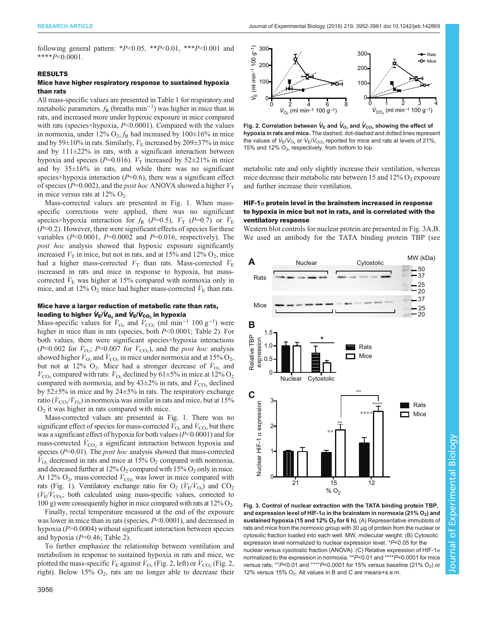<span id="page-4-0"></span>following general pattern: \* $P \le 0.05$ , \*\* $P \le 0.01$ , \*\*\* $P \le 0.001$  and \*\*\*\* $P<0.0001$ .

#### RESULTS

## Mice have higher respiratory response to sustained hypoxia than rats

All mass-specific values are presented in [Table 1](#page-2-0) for respiratory and metabolic parameters.  $f_R$  (breaths min<sup>-1</sup>) was higher in mice than in rats, and increased more under hypoxic exposure in mice compared with rats (species×hypoxia,  $P<0.0001$ ). Compared with the values in normoxia, under 12%  $O_2$ ,  $f_R$  had increased by 100±16% in mice and by 59 $\pm$ 10% in rats. Similarly,  $\dot{V}_{\rm E}$  increased by 209 $\pm$ 37% in mice and by  $111\pm22\%$  in rats, with a significant interaction between hypoxia and species (P=0.016).  $V_T$  increased by 52 $\pm$ 21% in mice and by  $35\pm16\%$  in rats, and while there was no significant species×hypoxia interaction  $(P=0.6)$ , there was a significant effect of species ( $P=0.002$ ), and the *post hoc* ANOVA showed a higher  $V<sub>T</sub>$ in mice versus rats at  $12\%$  O<sub>2</sub>.

Mass-corrected values are presented in [Fig. 1](#page-3-0). When massspecific corrections were applied, there was no significant species×hypoxia interaction for  $f_{\rm R}$  (P=0.5),  $V_{\rm T}$  (P=0.7) or  $\dot{V}_{\rm E}$  $(P=0.2)$ . However, there were significant effects of species for these variables ( $P<0.0001$ ,  $P=0.0002$  and  $P=0.016$ , respectively). The post hoc analysis showed that hypoxic exposure significantly increased  $V_T$  in mice, but not in rats, and at 15% and 12%  $O_2$ , mice had a higher mass-corrected  $V<sub>T</sub>$  than rats. Mass-corrected  $\dot{V}<sub>E</sub>$ increased in rats and mice in response to hypoxia, but masscorrected  $\dot{V}_{\rm E}$  was higher at 15% compared with normoxia only in mice, and at 12%  $O_2$  mice had higher mass-corrected  $\dot{V}_E$  than rats.

#### Mice have a larger reduction of metabolic rate than rats, leading to higher  $\dot{V}_{E}/\dot{V}_{O_2}$  and  $\dot{V}_{E}/\dot{V}_{CO_2}$  in hypoxia

Mass-specific values for  $\dot{V}_{\text{O}_2}$  and  $\dot{V}_{\text{CO}_2}$  (ml min<sup>-1</sup> 100 g<sup>-1</sup>) were higher in mice than in rats (species, both  $P<0.0001$ ; [Table 2\)](#page-2-0). For both values, there were significant species×hypoxia interactions  $(P=0.002$  for  $\dot{V}_{\text{O}_2}$ ;  $P=0.007$  for  $\dot{V}_{\text{CO}_2}$ ), and the *post hoc* analysis showed higher  $\hat{V}_{\text{O}_2}$  and  $\hat{V}_{\text{CO}_2}$  in mice under normoxia and at 15% O<sub>2</sub>, but not at 12%  $O_2$ . Mice had a stronger decrease of  $\dot{V}_{O_2}$  and  $V_{\text{CO}_2}$  compared with rats:  $V_{\text{O}_2}$  declined by 61±5% in mice at 12% O<sub>2</sub> compared with normoxia, and by  $43\pm2\%$  in rats, and  $\dot{V}_{\text{CO}_2}$  declined by 52±5% in mice and by 24±5% in rats. The respiratory exchange ratio ( $\dot{V}_{\rm CO_2}/\dot{V}_{\rm O_2}$ ) in normoxia was similar in rats and mice, but at 15%  $O<sub>2</sub>$  it was higher in rats compared with mice.

Mass-corrected values are presented in [Fig. 1.](#page-3-0) There was no significant effect of species for mass-corrected  $\dot{V}_{\text{O}_2}$  and  $\dot{V}_{\text{CO}_2}$  but there was a significant effect of hypoxia for both values  $(P< 0.0001)$  and for mass-corrected  $\dot{V}_{\text{CO}_2}$  a significant interaction between hypoxia and species  $(P=0.01)$ . The *post hoc* analysis showed that mass-corrected  $\bar{V}_{\text{O}_2}$  decreased in rats and mice at 15%  $\text{O}_2$  compared with normoxia, and decreased further at  $12\%$  O<sub>2</sub> compared with  $15\%$  O<sub>2</sub> only in mice. At 12%  $O_2$ , mass-corrected  $\dot{V}_{\text{CO}_2}$  was lower in mice compared with rats [\(Fig. 1\)](#page-3-0). Ventilatory exchange ratio for  $O_2$  ( $\dot{V}_{E}/\dot{V}_{O_2}$ ) and  $CO_2$  $(\dot{V}_{\rm E}/\dot{V}_{\rm CO_2};$  both calculated using mass-specific values, corrected to 100 g) were consequently higher in mice compared with rats at  $12\%$  O<sub>2</sub>.

Finally, rectal temperature measured at the end of the exposure was lower in mice than in rats (species,  $P<0.0001$ ), and decreased in hypoxia  $(P=0.0004)$  without significant interaction between species and hypoxia  $(P=0.46;$  [Table 2](#page-2-0)).

To further emphasize the relationship between ventilation and metabolism in response to sustained hypoxia in rats and mice, we plotted the mass-specific  $\dot{V}_{\rm E}$  against  $\dot{V}_{\rm O_2}$  (Fig. 2, left) or  $\dot{V}_{\rm CO_2}$  (Fig. 2, right). Below  $15\%$  O<sub>2</sub>, rats are no longer able to decrease their



Fig. 2. Correlation between  $\dot{\boldsymbol{V}}_{\mathsf{E}}$  and  $\dot{\boldsymbol{V}}_{\mathsf{O}_2}$  and  $\dot{\boldsymbol{V}}_{\mathsf{CO}_2}$  showing the effect of hypoxia in rats and mice. The dashed, dot-dashed and dotted lines represent the values of  $\dot{V}_{E}/\dot{V}_{\rm O_2}$  or  $\dot{V}_{E}/\dot{V}_{\rm CO_2}$  reported for mice and rats at levels of 21%, 15% and 12%  $O_2$ , respectively, from bottom to top.

metabolic rate and only slightly increase their ventilation, whereas mice decrease their metabolic rate between 15 and  $12\%$  O<sub>2</sub> exposure and further increase their ventilation.

## HIF-1 $\alpha$  protein level in the brainstem increased in response to hypoxia in mice but not in rats, and is correlated with the ventilatory response

Western blot controls for nuclear protein are presented in Fig. 3A,B. We used an antibody for the TATA binding protein TBP (see



Fig. 3. Control of nuclear extraction with the TATA binding protein TBP, and expression level of HIF-1 $\alpha$  in the brainstem in normoxia (21% O<sub>2</sub>) and sustained hypoxia (15 and 12%  $O_2$  for 6 h). (A) Representative immublots of rats and mice from the normoxic group with 30 µg of protein from the nuclear or cytosolic fraction loaded into each well. MW, molecular weight. (B) Cytosolic expression level normalized to nuclear expression level. \*P<0.05 for the nuclear versus cysotoslic fraction (ANOVA). (C) Relative expression of HIF-1α normalized to the expression in normoxia. \*\*P<0.01 and \*\*\*\*P<0.0001 for mice versus rats;  $^{\circ}P$ <0.01 and  $^{\circ}$  $^{\circ}P$ <0.0001 for 15% versus baseline (21% O<sub>2</sub>) or 12% versus 15%  $O_2$ . All values in B and C are means+s.e.m.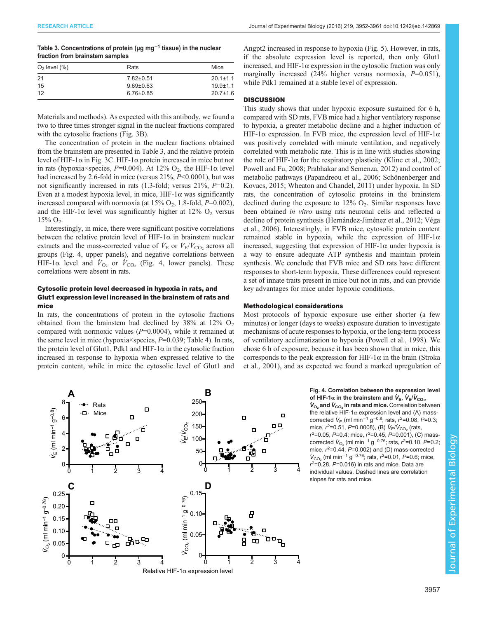| Table 3. Concentrations of protein ( $\mu$ g mg <sup>-1</sup> tissue) in the nuclear |  |
|--------------------------------------------------------------------------------------|--|
| fraction from brainstem samples                                                      |  |

| $O2$ level $(\%)$ | Rats            | Mice           |
|-------------------|-----------------|----------------|
| 21                | $7.82 \pm 0.51$ | $20.1 \pm 1.1$ |
| 15                | $9.69 \pm 0.63$ | $19.9 + 1.1$   |
| 12                | $6.76 \pm 0.85$ | $20.7 \pm 1.6$ |

Materials and methods). As expected with this antibody, we found a two to three times stronger signal in the nuclear fractions compared with the cytosolic fractions [\(Fig. 3B](#page-4-0)).

The concentration of protein in the nuclear fractions obtained from the brainstem are presented in Table 3, and the relative protein level of HIF-1α in [Fig. 3C](#page-4-0). HIF-1α protein increased in mice but not in rats (hypoxia×species,  $P=0.004$ ). At 12% O<sub>2</sub>, the HIF-1 $\alpha$  level had increased by 2.6-fold in mice (versus 21%,  $P<0.0001$ ), but was not significantly increased in rats  $(1.3\text{-}fold;$  versus  $21\%$ ,  $P=0.2$ ). Even at a modest hypoxia level, in mice,  $HIF-1\alpha$  was significantly increased compared with normoxia (at  $15\%$  O<sub>2</sub>, 1.8-fold,  $P=0.002$ ), and the HIF-1 $\alpha$  level was significantly higher at 12% O<sub>2</sub> versus  $15\%$  O<sub>2</sub>.

Interestingly, in mice, there were significant positive correlations between the relative protein level of HIF-1 $\alpha$  in brainstem nuclear extracts and the mass-corrected value of  $\dot{V}_{\rm E}$  or  $\dot{V}_{\rm E}/\dot{V}_{\rm CO_2}$  across all groups (Fig. 4, upper panels), and negative correlations between HIF-1 $\alpha$  level and  $\dot{V}_{\text{O}_2}$  or  $\dot{V}_{\text{CO}_2}$  (Fig. 4, lower panels). These correlations were absent in rats.

# Cytosolic protein level decreased in hypoxia in rats, and Glut1 expression level increased in the brainstem of rats and mice

In rats, the concentrations of protein in the cytosolic fractions obtained from the brainstem had declined by  $38\%$  at  $12\%$  O<sub>2</sub> compared with normoxic values  $(P=0.0004)$ , while it remained at the same level in mice (hypoxia×species,  $P=0.039$ ; [Table 4](#page-6-0)). In rats, the protein level of Glut1, Pdk1 and HIF-1 $\alpha$  in the cytosolic fraction increased in response to hypoxia when expressed relative to the protein content, while in mice the cytosolic level of Glut1 and

Angpt2 increased in response to hypoxia [\(Fig. 5\)](#page-6-0). However, in rats, if the absolute expression level is reported, then only Glut1 increased, and HIF-1 $\alpha$  expression in the cytosolic fraction was only marginally increased  $(24\%$  higher versus normoxia,  $P=0.051$ ), while Pdk1 remained at a stable level of expression.

## **DISCUSSION**

This study shows that under hypoxic exposure sustained for 6 h, compared with SD rats, FVB mice had a higher ventilatory response to hypoxia, a greater metabolic decline and a higher induction of HIF-1α expression. In FVB mice, the expression level of HIF-1α was positively correlated with minute ventilation, and negatively correlated with metabolic rate. This is in line with studies showing the role of HIF-1 $\alpha$  for the respiratory plasticity [\(Kline et al., 2002](#page-9-0); [Powell and Fu, 2008; Prabhakar and Semenza, 2012\)](#page-9-0) and control of metabolic pathways ([Papandreou et al., 2006; Schönenberger and](#page-9-0) [Kovacs, 2015; Wheaton and Chandel, 2011\)](#page-9-0) under hypoxia. In SD rats, the concentration of cytosolic proteins in the brainstem declined during the exposure to  $12\%$  O<sub>2</sub>. Similar responses have been obtained *in vitro* using rats neuronal cells and reflected a decline of protein synthesis [\(Hernández-Jiménez et al., 2012](#page-8-0); [Véga](#page-9-0) [et al., 2006\)](#page-9-0). Interestingly, in FVB mice, cytosolic protein content remained stable in hypoxia, while the expression of HIF-1 $\alpha$ increased, suggesting that expression of HIF-1 $\alpha$  under hypoxia is a way to ensure adequate ATP synthesis and maintain protein synthesis. We conclude that FVB mice and SD rats have different responses to short-term hypoxia. These differences could represent a set of innate traits present in mice but not in rats, and can provide key advantages for mice under hypoxic conditions.

#### Methodological considerations

Most protocols of hypoxic exposure use either shorter (a few minutes) or longer (days to weeks) exposure duration to investigate mechanisms of acute responses to hypoxia, or the long-term process of ventilatory acclimatization to hypoxia ([Powell et al., 1998](#page-9-0)). We chose 6 h of exposure, because it has been shown that in mice, this corresponds to the peak expression for HIF-1 $\alpha$  in the brain ([Stroka](#page-9-0) [et al., 2001\)](#page-9-0), and as expected we found a marked upregulation of

#### Fig. 4. Correlation between the expression level of HIF-1 $\alpha$  in the brainstem and  $\dot{\boldsymbol{V}}_{\sf E},\,\dot{\boldsymbol{V}}_{\sf E}/\dot{\boldsymbol{V}}_{\sf CO_2},$  $\dot{V}_{\text{O}_2}$  and  $\dot{V}_{\text{CO}_2}$  in rats and mice. Correlation between the relative HIF-1 $\alpha$  expression level and (A) mass-

corrected  $\dot{V}_{E}$  (ml min<sup>-1</sup> g<sup>-0.8</sup>; rats,  $r^2$ =0.08, P=0.3; mice,  $r^2$ =0.51, P=0.0008), (B)  $\dot{V}_{\rm E}/\dot{V}_{\rm CO_2}$  (rats,  $r^2$ =0.05, P=0.4; mice,  $r^2$ =0.45, P=0.001), (C) masscorrected  $\dot{V}_{\text{O}_2}$  (ml min<sup>-1</sup> g<sup>-0.76</sup>; rats,  $r^2$ =0.10, P=0.2; mice,  $r^2$ =0.44,  $P$ =0.002) and (D) mass-corrected  $\dot{V}_{\rm CO_2}$  (ml min<sup>-1</sup> g<sup>-0.76</sup>; rats, r<sup>2</sup>=0.01, P=0.6; mice,  $r^2$ =0.28, P=0.016) in rats and mice. Data are individual values. Dashed lines are correlation slopes for rats and mice.

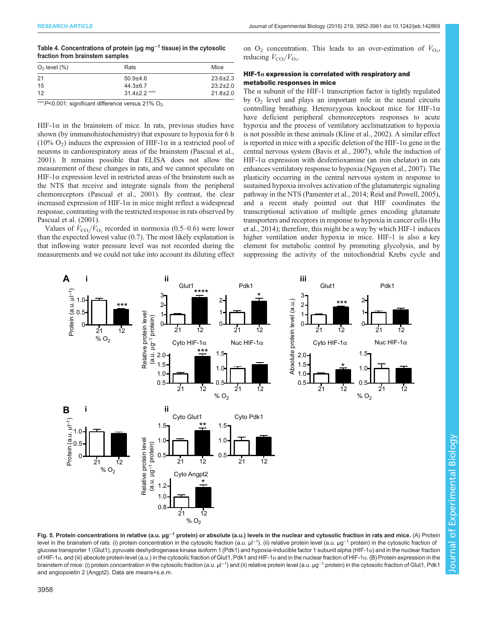## <span id="page-6-0"></span>Table 4. Concentrations of protein (µg mg<sup>-1</sup> tissue) in the cytosolic fraction from brainstem samples

| $O2$ level $(\%)$ | Rats               | Mice           |
|-------------------|--------------------|----------------|
| 21                | $50.9 + 4.6$       | $23.6 \pm 2.3$ |
| 15                | $44.3 \pm 6.7$     | $23.2 \pm 2.0$ |
| 12                | $31.4 \pm 2.2$ °°° | $21.8 \pm 2.0$ |
|                   |                    |                |

 $\degree$ ° $P$ <0.001: significant difference versus 21% O<sub>2</sub>.

HIF-1 $\alpha$  in the brainstem of mice. In rats, previous studies have shown (by immunohistochemistry) that exposure to hypoxia for 6 h (10%  $O_2$ ) induces the expression of HIF-1 $\alpha$  in a restricted pool of neurons in cardiorespiratory areas of the brainstem [\(Pascual et al.,](#page-9-0) [2001](#page-9-0)). It remains possible that ELISA does not allow the measurement of these changes in rats, and we cannot speculate on HIF-1 $\alpha$  expression level in restricted areas of the brainstem such as the NTS that receive and integrate signals from the peripheral chemoreceptors [\(Pascual et al., 2001](#page-9-0)). By contrast, the clear increased expression of HIF-1α in mice might reflect a widespread response, contrasting with the restricted response in rats observed by [Pascual et al. \(2001\).](#page-9-0)

Values of  $\dot{V}_{\text{CO}_2}/\dot{V}_{\text{O}_2}$  recorded in normoxia (0.5–0.6) were lower than the expected lowest value (0.7). The most likely explanation is that inflowing water pressure level was not recorded during the measurements and we could not take into account its diluting effect

on  $O_2$  concentration. This leads to an over-estimation of  $\dot{V}_{O_2}$ , reducing  $\dot{V}_{\text{CO}_2}/\dot{V}_{\text{O}_2}$ .

# HIF-1 $\alpha$  expression is correlated with respiratory and metabolic responses in mice

The  $\alpha$  subunit of the HIF-1 transcription factor is tightly regulated by  $O<sub>2</sub>$  level and plays an important role in the neural circuits controlling breathing. Heterozygous knockout mice for HIF-1α have deficient peripheral chemoreceptors responses to acute hypoxia and the process of ventilatory acclimatization to hypoxia is not possible in these animals [\(Kline et al., 2002](#page-9-0)). A similar effect is reported in mice with a specific deletion of the HIF-1 $\alpha$  gene in the central nervous system [\(Bavis et al., 2007](#page-8-0)), while the induction of HIF-1 $\alpha$  expression with desferrioxamine (an iron chelator) in rats enhances ventilatory response to hypoxia ([Nguyen et al., 2007](#page-9-0)). The plasticity occurring in the central nervous system in response to sustained hypoxia involves activation of the glutamatergic signaling pathway in the NTS [\(Pamenter et al., 2014; Reid and Powell, 2005\)](#page-9-0), and a recent study pointed out that HIF coordinates the transcriptional activation of multiple genes encoding glutamate transporters and receptors in response to hypoxia in cancer cells [\(Hu](#page-8-0) [et al., 2014](#page-8-0)); therefore, this might be a way by which HIF-1 induces higher ventilation under hypoxia in mice. HIF-1 is also a key element for metabolic control by promoting glycolysis, and by suppressing the activity of the mitochondrial Krebs cycle and



Fig. 5. Protein concentrations in relative (a.u. µg<sup>-1</sup> protein) or absolute (a.u.) levels in the nuclear and cytosolic fraction in rats and mice. (A) Protein level in the brainstem of rats: (i) protein concentration in the cytosolic fraction (a.u. µl<sup>-1</sup>), (ii) relative protein level (a.u. µg<sup>-1</sup> protein) in the cytosolic fraction of glucose transporter 1 (Glut1), pyruvate deshydrogenase kinase isoform 1 (Pdk1) and hypoxia-inducible factor 1 subunit alpha (HIF-1α) and in the nuclear fraction of HIF-1α, and (iii) absolute protein level (a.u.) in the cytosolic fraction of Glut1, Pdk1 and HIF-1α and in the nuclear fraction of HIF-1α. (B) Protein expression in the brainstem of mice: (i) protein concentration in the cytosolic fraction (a.u. µl<sup>−1</sup>) and (ii) relative protein level (a.u. µg<sup>−1</sup> protein) in the cytosolic fraction of Glut1, Pdk1 and angiopoietin 2 (Angpt2). Data are means+s.e.m.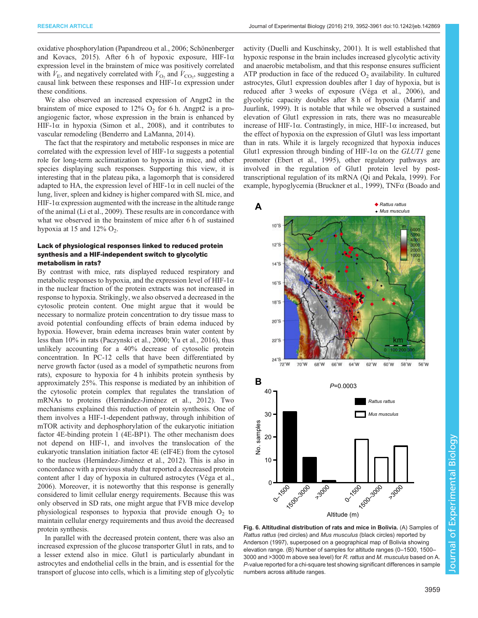<span id="page-7-0"></span>oxidative phosphorylation [\(Papandreou et al., 2006; Schönenberger](#page-9-0) [and Kovacs, 2015](#page-9-0)). After 6 h of hypoxic exposure, HIF-1 $\alpha$ expression level in the brainstem of mice was positively correlated with  $\dot{V}_{\text{E}}$ , and negatively correlated with  $\dot{V}_{\text{O}_2}$  and  $\dot{V}_{\text{CO}_2}$ , suggesting a causal link between these responses and HIF-1 $\alpha$  expression under these conditions.

We also observed an increased expression of Angpt2 in the brainstem of mice exposed to  $12\%$  O<sub>2</sub> for 6 h. Angpt2 is a proangiogenic factor, whose expression in the brain is enhanced by HIF-1 $\alpha$  in hypoxia ([Simon et al., 2008\)](#page-9-0), and it contributes to vascular remodeling [\(Benderro and LaManna, 2014\)](#page-8-0).

The fact that the respiratory and metabolic responses in mice are correlated with the expression level of HIF-1 $\alpha$  suggests a potential role for long-term acclimatization to hypoxia in mice, and other species displaying such responses. Supporting this view, it is interesting that in the plateau pika, a lagomorph that is considered adapted to HA, the expression level of HIF-1 $\alpha$  in cell nuclei of the lung, liver, spleen and kidney is higher compared with SL mice, and HIF-1 $\alpha$  expression augmented with the increase in the altitude range of the animal ([Li et al., 2009](#page-9-0)). These results are in concordance with what we observed in the brainstem of mice after 6 h of sustained hypoxia at 15 and  $12\%$  O<sub>2</sub>.

## Lack of physiological responses linked to reduced protein synthesis and a HIF-independent switch to glycolytic metabolism in rats?

By contrast with mice, rats displayed reduced respiratory and metabolic responses to hypoxia, and the expression level of HIF-1 $\alpha$ in the nuclear fraction of the protein extracts was not increased in response to hypoxia. Strikingly, we also observed a decreased in the cytosolic protein content. One might argue that it would be necessary to normalize protein concentration to dry tissue mass to avoid potential confounding effects of brain edema induced by hypoxia. However, brain edema increases brain water content by less than 10% in rats ([Paczynski et al., 2000; Yu et al., 2016](#page-9-0)), thus unlikely accounting for a 40% decrease of cytosolic protein concentration. In PC-12 cells that have been differentiated by nerve growth factor (used as a model of sympathetic neurons from rats), exposure to hypoxia for 4 h inhibits protein synthesis by approximately 25%. This response is mediated by an inhibition of the cytosolic protein complex that regulates the translation of mRNAs to proteins [\(Hernández-Jiménez et al., 2012\)](#page-8-0). Two mechanisms explained this reduction of protein synthesis. One of them involves a HIF-1-dependent pathway, through inhibition of mTOR activity and dephosphorylation of the eukaryotic initiation factor 4E-binding protein 1 (4E-BP1). The other mechanism does not depend on HIF-1, and involves the translocation of the eukaryotic translation initiation factor 4E (eIF4E) from the cytosol to the nucleus [\(Hernández-Jiménez et al., 2012\)](#page-8-0). This is also in concordance with a previous study that reported a decreased protein content after 1 day of hypoxia in cultured astrocytes ([Véga et al.,](#page-9-0) [2006](#page-9-0)). Moreover, it is noteworthy that this response is generally considered to limit cellular energy requirements. Because this was only observed in SD rats, one might argue that FVB mice develop physiological responses to hypoxia that provide enough  $O_2$  to maintain cellular energy requirements and thus avoid the decreased protein synthesis.

In parallel with the decreased protein content, there was also an increased expression of the glucose transporter Glut1 in rats, and to a lesser extend also in mice. Glut1 is particularly abundant in astrocytes and endothelial cells in the brain, and is essential for the transport of glucose into cells, which is a limiting step of glycolytic

activity [\(Duelli and Kuschinsky, 2001\)](#page-8-0). It is well established that hypoxic response in the brain includes increased glycolytic activity and anaerobic metabolism, and that this response ensures sufficient ATP production in face of the reduced  $O<sub>2</sub>$  availability. In cultured astrocytes, Glut1 expression doubles after 1 day of hypoxia, but is reduced after 3 weeks of exposure ([Véga et al., 2006\)](#page-9-0), and glycolytic capacity doubles after 8 h of hypoxia [\(Marrif and](#page-9-0) [Juurlink, 1999\)](#page-9-0). It is notable that while we observed a sustained elevation of Glut1 expression in rats, there was no measureable increase of HIF-1α. Contrastingly, in mice, HIF-1α increased, but the effect of hypoxia on the expression of Glut1 was less important than in rats. While it is largely recognized that hypoxia induces Glut1 expression through binding of HIF-1 $\alpha$  on the *GLUT1* gene promoter [\(Ebert et al., 1995\)](#page-8-0), other regulatory pathways are involved in the regulation of Glut1 protein level by posttranscriptional regulation of its mRNA ([Qi and Pekala, 1999\)](#page-9-0). For example, hypoglycemia [\(Bruckner et al., 1999\)](#page-8-0), TNFα [\(Boado and](#page-8-0)



Fig. 6. Altitudinal distribution of rats and mice in Bolivia. (A) Samples of Rattus rattus (red circles) and Mus musculus (black circles) reported by [Anderson \(1997\)](#page-8-0), superposed on a geographical map of Bolivia showing elevation range. (B) Number of samples for altitude ranges (0–1500, 1500– 3000 and >3000 m above sea level) for R. rattus and M. musculus based on A P-value reported for a chi-square test showing significant differences in sample numbers across altitude ranges.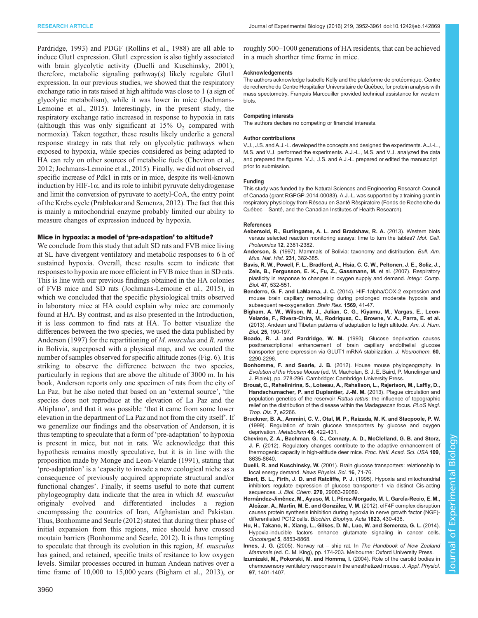<span id="page-8-0"></span>Pardridge, 1993) and PDGF [\(Rollins et al., 1988](#page-9-0)) are all able to induce Glut1 expression. Glut1 expression is also tightly associated with brain glycolytic activity (Duelli and Kuschinsky, 2001); therefore, metabolic signaling pathway(s) likely regulate Glut1 expression. In our previous studies, we showed that the respiratory exchange ratio in rats raised at high altitude was close to 1 (a sign of glycolytic metabolism), while it was lower in mice ([Jochmans-](#page-9-0)[Lemoine et al., 2015](#page-9-0)). Interestingly, in the present study, the respiratory exchange ratio increased in response to hypoxia in rats (although this was only significant at  $15\%$  O<sub>2</sub> compared with normoxia). Taken together, these results likely underlie a general response strategy in rats that rely on glycolytic pathways when exposed to hypoxia, while species considered as being adapted to HA can rely on other sources of metabolic fuels (Cheviron et al., 2012; [Jochmans-Lemoine et al., 2015\)](#page-9-0). Finally, we did not observed specific increase of Pdk1 in rats or in mice, despite its well-known induction by HIF-1 $\alpha$ , and its role to inhibit pyruvate dehydrogenase and limit the conversion of pyruvate to acetyl-CoA, the entry point of the Krebs cycle ([Prabhakar and Semenza, 2012\)](#page-9-0). The fact that this is mainly a mitochondrial enzyme probably limited our ability to measure changes of expression induced by hypoxia.

#### Mice in hypoxia: a model of 'pre-adapation' to altitude?

We conclude from this study that adult SD rats and FVB mice living at SL have divergent ventilatory and metabolic responses to 6 h of sustained hypoxia. Overall, these results seem to indicate that responses to hypoxia are more efficient in FVB mice than in SD rats. This is line with our previous findings obtained in the HA colonies of FVB mice and SD rats [\(Jochmans-Lemoine et al., 2015](#page-9-0)), in which we concluded that the specific physiological traits observed in laboratory mice at HA could explain why mice are commonly found at HA. By contrast, and as also presented in the Introduction, it is less common to find rats at HA. To better visualize the differences between the two species, we used the data published by Anderson (1997) for the repartitioning of M. musculus and R. rattus in Bolivia, superposed with a physical map, and we counted the number of samples observed for specific altitude zones [\(Fig. 6\)](#page-7-0). It is striking to observe the difference between the two species, particularly in regions that are above the altitude of 3000 m. In his book, Anderson reports only one specimen of rats from the city of La Paz, but he also noted that based on an 'external source', 'the species does not reproduce at the elevation of La Paz and the Altiplano', and that it was possible 'that it came from some lower elevation in the department of La Paz and not from the city itself'. If we generalize our findings and the observation of Anderson, it is thus tempting to speculate that a form of 'pre-adaptation' to hypoxia is present in mice, but not in rats. We acknowledge that this hypothesis remains mostly speculative, but it is in line with the proposition made by [Monge and Leon-Velarde \(1991\),](#page-9-0) stating that 'pre-adaptation' is a 'capacity to invade a new ecological niche as a consequence of previously acquired appropriate structural and/or functional changes'. Finally, it seems useful to note that current phylogeography data indicate that the area in which M. musculus originaly evolved and differentiated includes a region encompassing the countries of Iran, Afghanistan and Pakistan. Thus, Bonhomme and Searle (2012) stated that during their phase of initial expansion from this regions, mice should have crossed moutain barriers (Bonhomme and Searle, 2012). It is thus tempting to speculate that through its evolution in this region, M. musculus has gained, and retained, specific traits of resitance to low oxygen levels. Similar processes occured in human Andean natives over a time frame of 10,000 to 15,000 years (Bigham et al., 2013), or

#### Acknowledgements

The authors acknowledge Isabelle Kelly and the plateforme de protéomique, Centre de recherche du Centre Hospitalier Universitaire de Québec, for protein analysis with mass spectometry. François Marcouiller provided technical assistance for western blots.

#### Competing interests

The authors declare no competing or financial interests.

#### Author contributions

V.J., J.S. and A.J.-L. developed the concepts and designed the experiments. A.J.-L., M.S. and V.J. performed the experiments. A.J.-L., M.S. and V.J. analyzed the data and prepared the figures. V.J., J.S. and A.J.-L. prepared or edited the manuscript prior to submission.

#### Funding

This study was funded by the Natural Sciences and Engineering Research Council of Canada (grant RGPGP-2014-00083). A.J.-L. was supported by a training grant in respiratory physiology from Réseau en Santé Réspiratoire (Fonds de Recherche du Québec - Santé, and the Canadian Institutes of Health Research).

#### References

- [Aebersold, R., Burlingame, A. L. and Bradshaw, R. A.](http://dx.doi.org/10.1074/mcp.E113.031658) (2013). Western blots [versus selected reaction monitoring assays: time to turn the tables?](http://dx.doi.org/10.1074/mcp.E113.031658) Mol. Cell. Proteomics 12[, 2381-2382.](http://dx.doi.org/10.1074/mcp.E113.031658)
- Anderson, S. (1997). Mammals of Bolivia: taxonomy and distribution. Bull. Am. Mus. Nat. Hist. 231, 382-385.
- [Bavis, R. W., Powell, F. L., Bradford, A., Hsia, C. C. W., Peltonen, J. E., Soliz, J.,](http://dx.doi.org/10.1093/icb/icm070) [Zeis, B., Fergusson, E. K., Fu, Z., Gassmann, M.](http://dx.doi.org/10.1093/icb/icm070) et al. (2007). Respiratory [plasticity in response to changes in oxygen supply and demand.](http://dx.doi.org/10.1093/icb/icm070) Integr. Comp. Biol. 47[, 532-551.](http://dx.doi.org/10.1093/icb/icm070)
- Benderro, G. F. and LaManna, J. C. [\(2014\). HIF-1alpha/COX-2 expression and](http://dx.doi.org/10.1016/j.brainres.2014.04.035) [mouse brain capillary remodeling during prolonged moderate hypoxia and](http://dx.doi.org/10.1016/j.brainres.2014.04.035) [subsequent re-oxygenation.](http://dx.doi.org/10.1016/j.brainres.2014.04.035) Brain Res. 1569, 41-47.
- [Bigham, A. W., Wilson, M. J., Julian, C. G., Kiyamu, M., Vargas, E., Leon-](http://dx.doi.org/10.1002/ajhb.22358)[Velarde, F., Rivera-Chira, M., Rodriquez, C., Browne, V. A., Parra, E. et al.](http://dx.doi.org/10.1002/ajhb.22358) [\(2013\). Andean and Tibetan patterns of adaptation to high altitude.](http://dx.doi.org/10.1002/ajhb.22358) Am. J. Hum. Biol. 25[, 190-197.](http://dx.doi.org/10.1002/ajhb.22358)
- [Boado, R. J. and Pardridge, W. M.](http://dx.doi.org/10.1111/j.1471-4159.1993.tb03516.x) (1993). Glucose deprivation causes [posttranscriptional enhancement of brain capillary endothelial glucose](http://dx.doi.org/10.1111/j.1471-4159.1993.tb03516.x) [transporter gene expression via GLUT1 mRNA stabilization.](http://dx.doi.org/10.1111/j.1471-4159.1993.tb03516.x) J. Neurochem. 60, [2290-2296.](http://dx.doi.org/10.1111/j.1471-4159.1993.tb03516.x)
- Bonhomme, F. and Searle, J. B. (2012). House mouse phylogeography. In Evolution of the House Mouse (ed. M. Macholan, S. J. E. Baird, P. Munclinger and J. Pialek), pp. 278-296. Cambridge: Cambridge University Press.
- [Brouat, C., Rahelinirina, S., Loiseau, A., Rahalison, L., Rajerison, M., Laffly, D.,](http://dx.doi.org/10.1371/journal.pntd.0002266) [Handschumacher, P. and Duplantier, J.-M. M.](http://dx.doi.org/10.1371/journal.pntd.0002266) (2013). Plague circulation and [population genetics of the reservoir](http://dx.doi.org/10.1371/journal.pntd.0002266) Rattus rattus: the influence of topographic [relief on the distribution of the disease within the Madagascan focus.](http://dx.doi.org/10.1371/journal.pntd.0002266) PLoS Negl. [Trop. Dis.](http://dx.doi.org/10.1371/journal.pntd.0002266) 7, e2266.
- [Bruckner, B. A., Ammini, C. V., Otal, M. P., Raizada, M. K. and Stacpoole, P. W.](http://dx.doi.org/10.1016/S0026-0495(99)90098-7) [\(1999\). Regulation of brain glucose transporters by glucose and oxygen](http://dx.doi.org/10.1016/S0026-0495(99)90098-7) [deprivation.](http://dx.doi.org/10.1016/S0026-0495(99)90098-7) Metabolism 48, 422-431.
- [Cheviron, Z. A., Bachman, G. C., Connaty, A. D., McClelland, G. B. and Storz,](http://dx.doi.org/10.1073/pnas.1120523109) J. F. [\(2012\). Regulatory changes contribute to the adaptive enhancement of](http://dx.doi.org/10.1073/pnas.1120523109) [thermogenic capacity in high-altitude deer mice.](http://dx.doi.org/10.1073/pnas.1120523109) Proc. Natl. Acad. Sci. USA 109, [8635-8640.](http://dx.doi.org/10.1073/pnas.1120523109)
- Duelli, R. and Kuschinsky, W. (2001). Brain glucose transporters: relationship to local energy demand. News Physiol. Sci. 16, 71-76.
- [Ebert, B. L., Firth, J. D. and Ratcliffe, P. J.](http://dx.doi.org/10.1074/jbc.270.49.29083) (1995). Hypoxia and mitochondrial [inhibitors regulate expression of glucose transporter-1 via distinct Cis-acting](http://dx.doi.org/10.1074/jbc.270.49.29083) sequences. J. Biol. Chem. 270[, 29083-29089.](http://dx.doi.org/10.1074/jbc.270.49.29083)
- Hernández-Jiménez, M., Ayuso, M. I., Pé[rez-Morgado, M. I., Garc](http://dx.doi.org/10.1016/j.bbamcr.2011.11.008)ía-Recio, E. M., Alcázar, A., Martín, M. E. and González, V. M. [\(2012\). eIF4F complex disruption](http://dx.doi.org/10.1016/j.bbamcr.2011.11.008) [causes protein synthesis inhibition during hypoxia in nerve growth factor \(NGF\)](http://dx.doi.org/10.1016/j.bbamcr.2011.11.008) [differentiated PC12 cells.](http://dx.doi.org/10.1016/j.bbamcr.2011.11.008) Biochim. Biophys. Acta 1823, 430-438.
- [Hu, H., Takano, N., Xiang, L., Gilkes, D. M., Luo, W. and Semenza, G. L.](http://dx.doi.org/10.18632/oncotarget.2593) (2014). [Hypoxia-inducible factors enhance glutamate signaling in cancer cells.](http://dx.doi.org/10.18632/oncotarget.2593) Oncotarget 5[, 8853-8868.](http://dx.doi.org/10.18632/oncotarget.2593)
- Innes, J. G. (2005). Norway rat ship rat. In The Handbook of New Zealand Mammals (ed. C. M. King), pp. 174-203. Melbourne: Oxford University Press.
- [Izumizaki, M., Pokorski, M. and Homma, I.](http://dx.doi.org/10.1152/japplphysiol.00025.2004) (2004). Role of the carotid bodies in [chemosensory ventilatory responses in the anesthetized mouse.](http://dx.doi.org/10.1152/japplphysiol.00025.2004) J. Appl. Physiol. 97[, 1401-1407.](http://dx.doi.org/10.1152/japplphysiol.00025.2004)